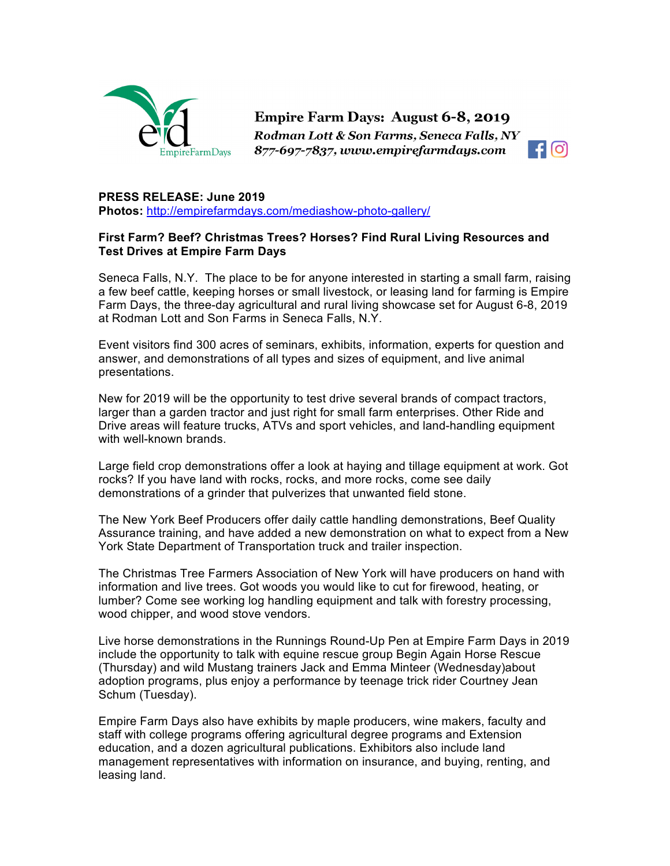

Empire Farm Days: August 6-8, 2019 Rodman Lott & Son Farms, Seneca Falls, NY 877-697-7837, www.empirefarmdays.com



## **PRESS RELEASE: June 2019**

**Photos:** http://empirefarmdays.com/mediashow-photo-gallery/

## **First Farm? Beef? Christmas Trees? Horses? Find Rural Living Resources and Test Drives at Empire Farm Days**

Seneca Falls, N.Y. The place to be for anyone interested in starting a small farm, raising a few beef cattle, keeping horses or small livestock, or leasing land for farming is Empire Farm Days, the three-day agricultural and rural living showcase set for August 6-8, 2019 at Rodman Lott and Son Farms in Seneca Falls, N.Y.

Event visitors find 300 acres of seminars, exhibits, information, experts for question and answer, and demonstrations of all types and sizes of equipment, and live animal presentations.

New for 2019 will be the opportunity to test drive several brands of compact tractors, larger than a garden tractor and just right for small farm enterprises. Other Ride and Drive areas will feature trucks, ATVs and sport vehicles, and land-handling equipment with well-known brands.

Large field crop demonstrations offer a look at haying and tillage equipment at work. Got rocks? If you have land with rocks, rocks, and more rocks, come see daily demonstrations of a grinder that pulverizes that unwanted field stone.

The New York Beef Producers offer daily cattle handling demonstrations, Beef Quality Assurance training, and have added a new demonstration on what to expect from a New York State Department of Transportation truck and trailer inspection.

The Christmas Tree Farmers Association of New York will have producers on hand with information and live trees. Got woods you would like to cut for firewood, heating, or lumber? Come see working log handling equipment and talk with forestry processing, wood chipper, and wood stove vendors.

Live horse demonstrations in the Runnings Round-Up Pen at Empire Farm Days in 2019 include the opportunity to talk with equine rescue group Begin Again Horse Rescue (Thursday) and wild Mustang trainers Jack and Emma Minteer (Wednesday)about adoption programs, plus enjoy a performance by teenage trick rider Courtney Jean Schum (Tuesday).

Empire Farm Days also have exhibits by maple producers, wine makers, faculty and staff with college programs offering agricultural degree programs and Extension education, and a dozen agricultural publications. Exhibitors also include land management representatives with information on insurance, and buying, renting, and leasing land.